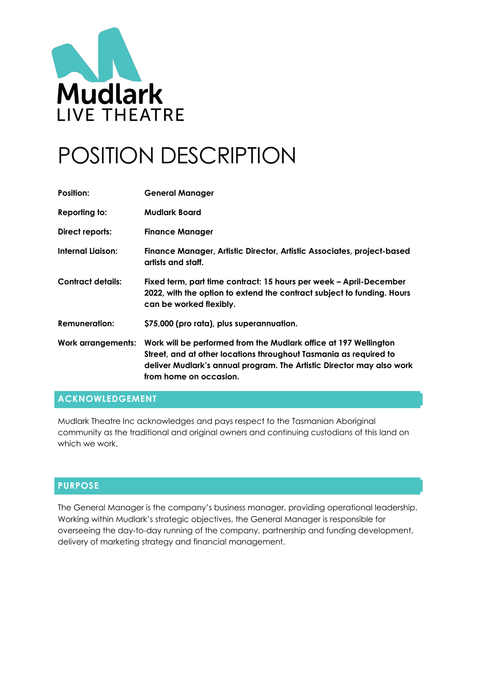

# POSITION DESCRIPTION

| Position:                 | <b>General Manager</b>                                                                                                                                                                                                                   |
|---------------------------|------------------------------------------------------------------------------------------------------------------------------------------------------------------------------------------------------------------------------------------|
| Reporting to:             | <b>Mudlark Board</b>                                                                                                                                                                                                                     |
| Direct reports:           | <b>Finance Manager</b>                                                                                                                                                                                                                   |
| Internal Liaison:         | Finance Manager, Artistic Director, Artistic Associates, project-based<br>artists and staff.                                                                                                                                             |
| <b>Contract details:</b>  | Fixed term, part time contract: 15 hours per week – April-December<br>2022, with the option to extend the contract subject to funding. Hours<br>can be worked flexibly.                                                                  |
| <b>Remuneration:</b>      | \$75,000 (pro rata), plus superannuation.                                                                                                                                                                                                |
| <b>Work arrangements:</b> | Work will be performed from the Mudlark office at 197 Wellington<br>Street, and at other locations throughout Tasmania as required to<br>deliver Mudlark's annual program. The Artistic Director may also work<br>from home on occasion. |

# **ACKNOWLEDGEMENT**

Mudlark Theatre Inc acknowledges and pays respect to the Tasmanian Aboriginal community as the traditional and original owners and continuing custodians of this land on which we work.

### **PURPOSE**

The General Manager is the company's business manager, providing operational leadership. Working within Mudlark's strategic objectives, the General Manager is responsible for overseeing the day-to-day running of the company, partnership and funding development, delivery of marketing strategy and financial management.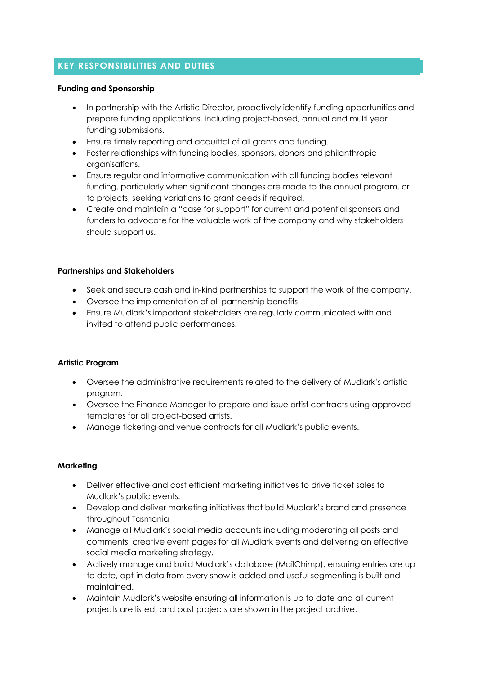# **KEY RESPONSIBILITIES AND DUTIES**

#### **Funding and Sponsorship**

- In partnership with the Artistic Director, proactively identify funding opportunities and prepare funding applications, including project-based, annual and multi year funding submissions.
- Ensure timely reporting and acquittal of all grants and funding.
- Foster relationships with funding bodies, sponsors, donors and philanthropic organisations.
- Ensure regular and informative communication with all funding bodies relevant funding, particularly when significant changes are made to the annual program, or to projects, seeking variations to grant deeds if required.
- Create and maintain a "case for support" for current and potential sponsors and funders to advocate for the valuable work of the company and why stakeholders should support us.

### **Partnerships and Stakeholders**

- Seek and secure cash and in-kind partnerships to support the work of the company.
- Oversee the implementation of all partnership benefits.
- Ensure Mudlark's important stakeholders are regularly communicated with and invited to attend public performances.

### **Artistic Program**

- Oversee the administrative requirements related to the delivery of Mudlark's artistic program.
- Oversee the Finance Manager to prepare and issue artist contracts using approved templates for all project-based artists.
- Manage ticketing and venue contracts for all Mudlark's public events.

### **Marketing**

- Deliver effective and cost efficient marketing initiatives to drive ticket sales to Mudlark's public events.
- Develop and deliver marketing initiatives that build Mudlark's brand and presence throughout Tasmania
- Manage all Mudlark's social media accounts including moderating all posts and comments, creative event pages for all Mudlark events and delivering an effective social media marketing strategy.
- Actively manage and build Mudlark's database (MailChimp), ensuring entries are up to date, opt-in data from every show is added and useful segmenting is built and maintained.
- Maintain Mudlark's website ensuring all information is up to date and all current projects are listed, and past projects are shown in the project archive.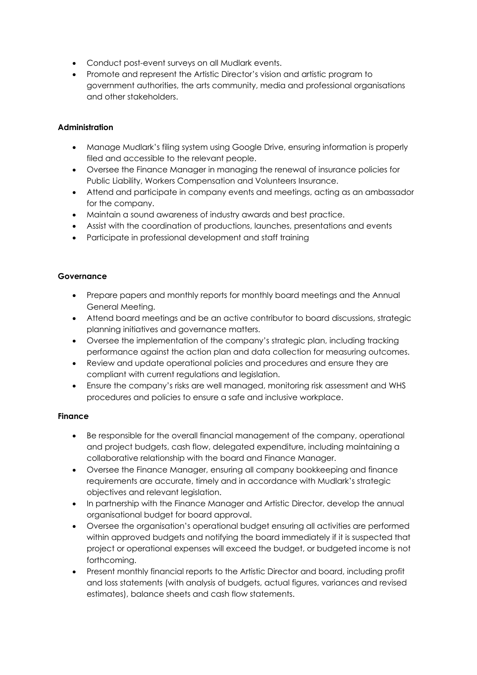- Conduct post-event surveys on all Mudlark events.
- Promote and represent the Artistic Director's vision and artistic program to government authorities, the arts community, media and professional organisations and other stakeholders.

#### **Administration**

- Manage Mudlark's filing system using Google Drive, ensuring information is properly filed and accessible to the relevant people.
- Oversee the Finance Manager in managing the renewal of insurance policies for Public Liability, Workers Compensation and Volunteers Insurance.
- Attend and participate in company events and meetings, acting as an ambassador for the company.
- Maintain a sound awareness of industry awards and best practice.
- Assist with the coordination of productions, launches, presentations and events
- Participate in professional development and staff training

#### **Governance**

- Prepare papers and monthly reports for monthly board meetings and the Annual General Meeting.
- Attend board meetings and be an active contributor to board discussions, strategic planning initiatives and governance matters.
- Oversee the implementation of the company's strategic plan, including tracking performance against the action plan and data collection for measuring outcomes.
- Review and update operational policies and procedures and ensure they are compliant with current regulations and legislation.
- Ensure the company's risks are well managed, monitoring risk assessment and WHS procedures and policies to ensure a safe and inclusive workplace.

#### **Finance**

- Be responsible for the overall financial management of the company, operational and project budgets, cash flow, delegated expenditure, including maintaining a collaborative relationship with the board and Finance Manager.
- Oversee the Finance Manager, ensuring all company bookkeeping and finance requirements are accurate, timely and in accordance with Mudlark's strategic objectives and relevant legislation.
- In partnership with the Finance Manager and Artistic Director, develop the annual organisational budget for board approval.
- Oversee the organisation's operational budget ensuring all activities are performed within approved budgets and notifying the board immediately if it is suspected that project or operational expenses will exceed the budget, or budgeted income is not forthcoming.
- Present monthly financial reports to the Artistic Director and board, including profit and loss statements (with analysis of budgets, actual figures, variances and revised estimates), balance sheets and cash flow statements.